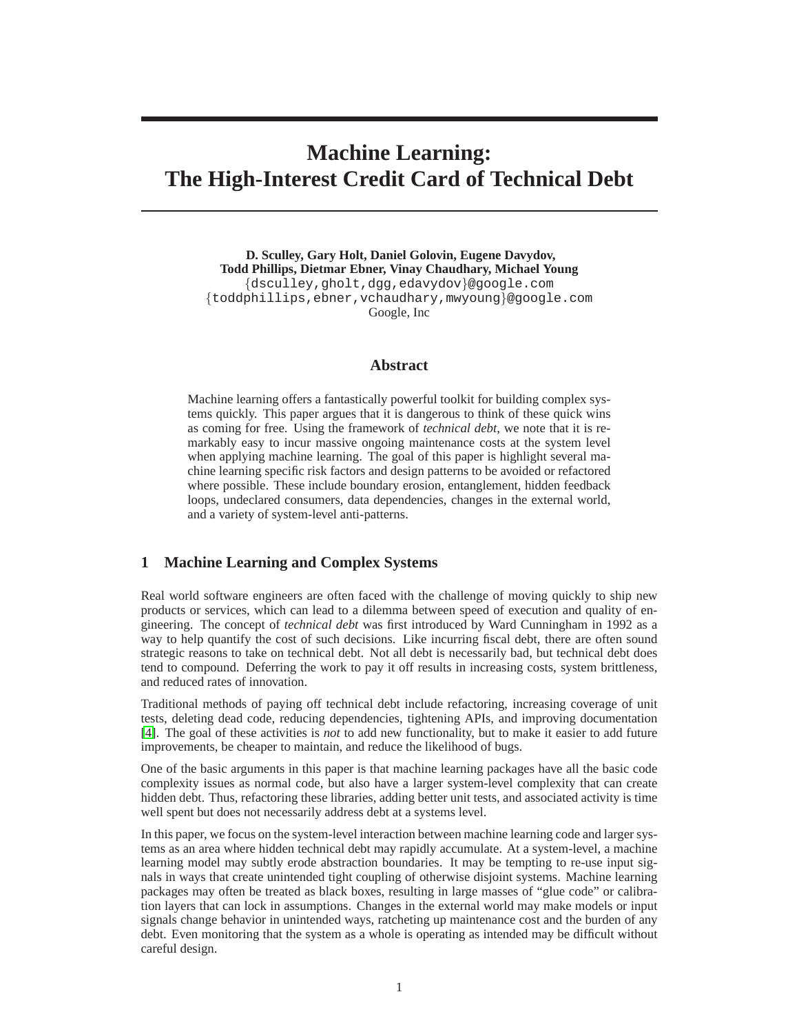# **Machine Learning: The High-Interest Credit Card of Technical Debt**

**D. Sculley, Gary Holt, Daniel Golovin, Eugene Davydov, Todd Phillips, Dietmar Ebner, Vinay Chaudhary, Michael Young** {dsculley,gholt,dgg,edavydov}@google.com {toddphillips,ebner,vchaudhary,mwyoung}@google.com Google, Inc

# **Abstract**

Machine learning offers a fantastically powerful toolkit for building complex systems quickly. This paper argues that it is dangerous to think of these quick wins as coming for free. Using the framework of *technical debt*, we note that it is remarkably easy to incur massive ongoing maintenance costs at the system level when applying machine learning. The goal of this paper is highlight several machine learning specific risk factors and design patterns to be avoided or refactored where possible. These include boundary erosion, entanglement, hidden feedback loops, undeclared consumers, data dependencies, changes in the external world, and a variety of system-level anti-patterns.

## **1 Machine Learning and Complex Systems**

Real world software engineers are often faced with the challenge of moving quickly to ship new products or services, which can lead to a dilemma between speed of execution and quality of engineering. The concept of *technical debt* was first introduced by Ward Cunningham in 1992 as a way to help quantify the cost of such decisions. Like incurring fiscal debt, there are often sound strategic reasons to take on technical debt. Not all debt is necessarily bad, but technical debt does tend to compound. Deferring the work to pay it off results in increasing costs, system brittleness, and reduced rates of innovation.

Traditional methods of paying off technical debt include refactoring, increasing coverage of unit tests, deleting dead code, reducing dependencies, tightening APIs, and improving documentation [\[4\]](#page-8-0). The goal of these activities is *not* to add new functionality, but to make it easier to add future improvements, be cheaper to maintain, and reduce the likelihood of bugs.

One of the basic arguments in this paper is that machine learning packages have all the basic code complexity issues as normal code, but also have a larger system-level complexity that can create hidden debt. Thus, refactoring these libraries, adding better unit tests, and associated activity is time well spent but does not necessarily address debt at a systems level.

In this paper, we focus on the system-level interaction between machine learning code and larger systems as an area where hidden technical debt may rapidly accumulate. At a system-level, a machine learning model may subtly erode abstraction boundaries. It may be tempting to re-use input signals in ways that create unintended tight coupling of otherwise disjoint systems. Machine learning packages may often be treated as black boxes, resulting in large masses of "glue code" or calibration layers that can lock in assumptions. Changes in the external world may make models or input signals change behavior in unintended ways, ratcheting up maintenance cost and the burden of any debt. Even monitoring that the system as a whole is operating as intended may be difficult without careful design.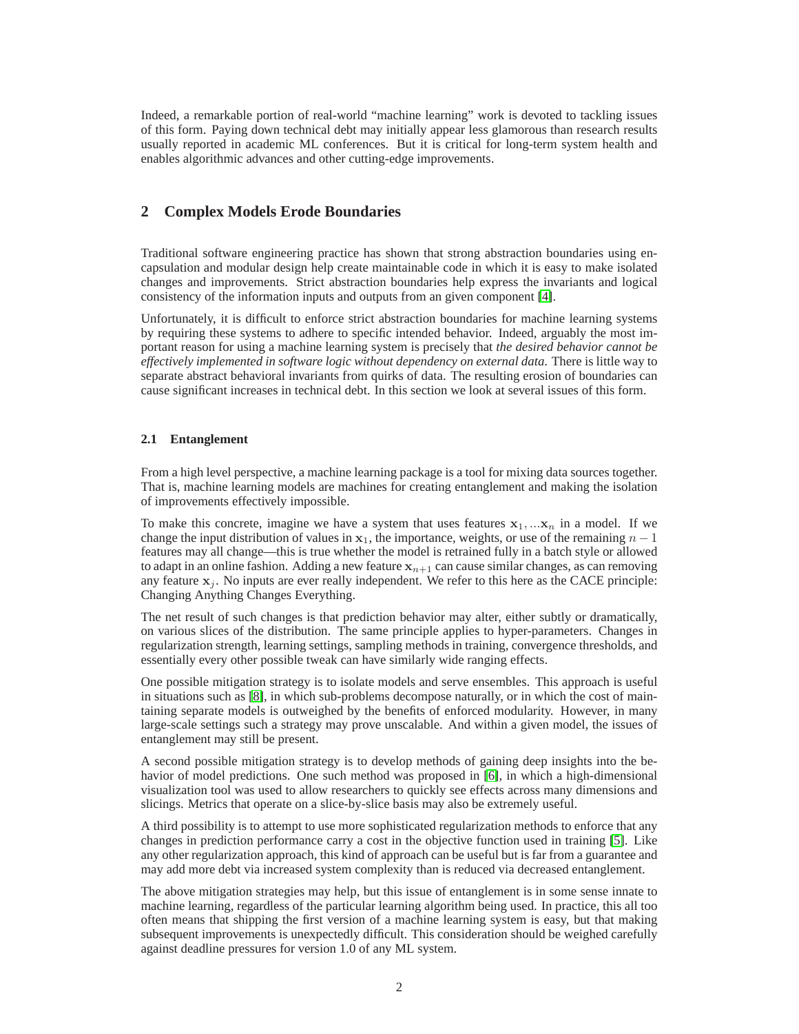Indeed, a remarkable portion of real-world "machine learning" work is devoted to tackling issues of this form. Paying down technical debt may initially appear less glamorous than research results usually reported in academic ML conferences. But it is critical for long-term system health and enables algorithmic advances and other cutting-edge improvements.

## **2 Complex Models Erode Boundaries**

Traditional software engineering practice has shown that strong abstraction boundaries using encapsulation and modular design help create maintainable code in which it is easy to make isolated changes and improvements. Strict abstraction boundaries help express the invariants and logical consistency of the information inputs and outputs from an given component [\[4\]](#page-8-0).

Unfortunately, it is difficult to enforce strict abstraction boundaries for machine learning systems by requiring these systems to adhere to specific intended behavior. Indeed, arguably the most important reason for using a machine learning system is precisely that *the desired behavior cannot be effectively implemented in software logic without dependency on external data*. There is little way to separate abstract behavioral invariants from quirks of data. The resulting erosion of boundaries can cause significant increases in technical debt. In this section we look at several issues of this form.

#### **2.1 Entanglement**

From a high level perspective, a machine learning package is a tool for mixing data sources together. That is, machine learning models are machines for creating entanglement and making the isolation of improvements effectively impossible.

To make this concrete, imagine we have a system that uses features  $x_1, \ldots, x_n$  in a model. If we change the input distribution of values in  $x_1$ , the importance, weights, or use of the remaining  $n - 1$ features may all change—this is true whether the model is retrained fully in a batch style or allowed to adapt in an online fashion. Adding a new feature  $x_{n+1}$  can cause similar changes, as can removing any feature  $x_j$ . No inputs are ever really independent. We refer to this here as the CACE principle: Changing Anything Changes Everything.

The net result of such changes is that prediction behavior may alter, either subtly or dramatically, on various slices of the distribution. The same principle applies to hyper-parameters. Changes in regularization strength, learning settings, sampling methods in training, convergence thresholds, and essentially every other possible tweak can have similarly wide ranging effects.

One possible mitigation strategy is to isolate models and serve ensembles. This approach is useful in situations such as [\[8\]](#page-8-1), in which sub-problems decompose naturally, or in which the cost of maintaining separate models is outweighed by the benefits of enforced modularity. However, in many large-scale settings such a strategy may prove unscalable. And within a given model, the issues of entanglement may still be present.

A second possible mitigation strategy is to develop methods of gaining deep insights into the behavior of model predictions. One such method was proposed in [\[6\]](#page-8-2), in which a high-dimensional visualization tool was used to allow researchers to quickly see effects across many dimensions and slicings. Metrics that operate on a slice-by-slice basis may also be extremely useful.

A third possibility is to attempt to use more sophisticated regularization methods to enforce that any changes in prediction performance carry a cost in the objective function used in training [\[5\]](#page-8-3). Like any other regularization approach, this kind of approach can be useful but is far from a guarantee and may add more debt via increased system complexity than is reduced via decreased entanglement.

The above mitigation strategies may help, but this issue of entanglement is in some sense innate to machine learning, regardless of the particular learning algorithm being used. In practice, this all too often means that shipping the first version of a machine learning system is easy, but that making subsequent improvements is unexpectedly difficult. This consideration should be weighed carefully against deadline pressures for version 1.0 of any ML system.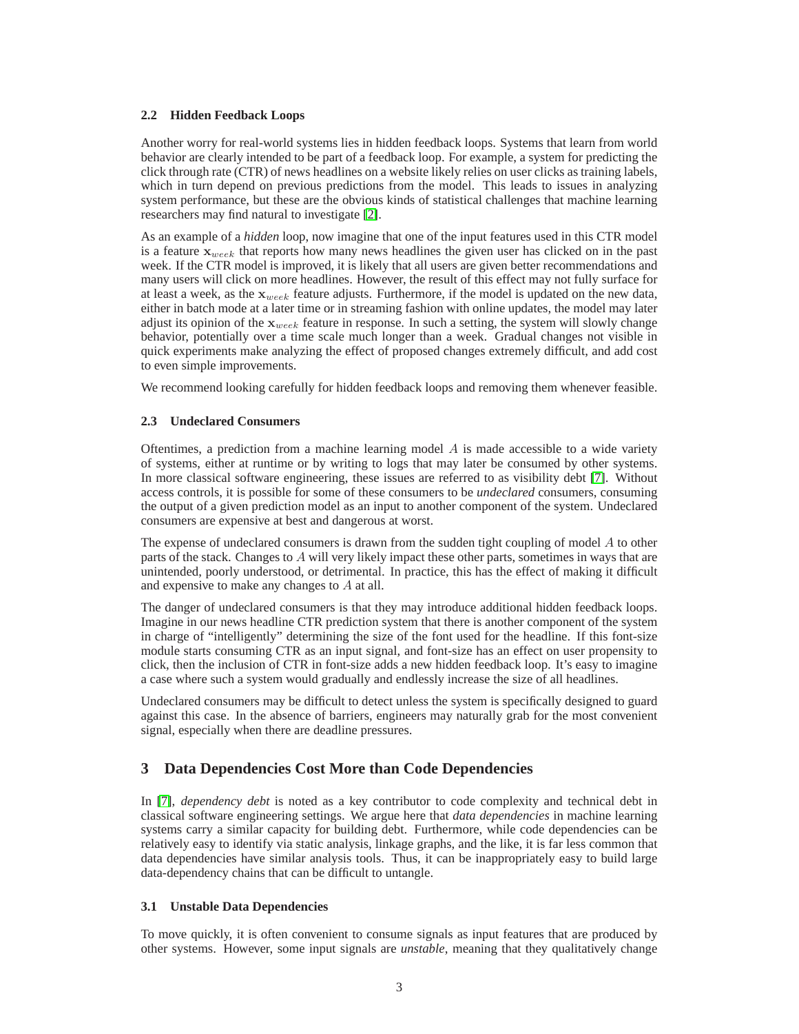#### **2.2 Hidden Feedback Loops**

Another worry for real-world systems lies in hidden feedback loops. Systems that learn from world behavior are clearly intended to be part of a feedback loop. For example, a system for predicting the click through rate (CTR) of news headlines on a website likely relies on user clicks as training labels, which in turn depend on previous predictions from the model. This leads to issues in analyzing system performance, but these are the obvious kinds of statistical challenges that machine learning researchers may find natural to investigate [\[2\]](#page-8-4).

As an example of a *hidden* loop, now imagine that one of the input features used in this CTR model is a feature  $x_{week}$  that reports how many news headlines the given user has clicked on in the past week. If the CTR model is improved, it is likely that all users are given better recommendations and many users will click on more headlines. However, the result of this effect may not fully surface for at least a week, as the  $x_{week}$  feature adjusts. Furthermore, if the model is updated on the new data, either in batch mode at a later time or in streaming fashion with online updates, the model may later adjust its opinion of the  $x_{week}$  feature in response. In such a setting, the system will slowly change behavior, potentially over a time scale much longer than a week. Gradual changes not visible in quick experiments make analyzing the effect of proposed changes extremely difficult, and add cost to even simple improvements.

We recommend looking carefully for hidden feedback loops and removing them whenever feasible.

#### **2.3 Undeclared Consumers**

Oftentimes, a prediction from a machine learning model  $A$  is made accessible to a wide variety of systems, either at runtime or by writing to logs that may later be consumed by other systems. In more classical software engineering, these issues are referred to as visibility debt [\[7\]](#page-8-5). Without access controls, it is possible for some of these consumers to be *undeclared* consumers, consuming the output of a given prediction model as an input to another component of the system. Undeclared consumers are expensive at best and dangerous at worst.

The expense of undeclared consumers is drawn from the sudden tight coupling of model A to other parts of the stack. Changes to A will very likely impact these other parts, sometimes in ways that are unintended, poorly understood, or detrimental. In practice, this has the effect of making it difficult and expensive to make any changes to A at all.

The danger of undeclared consumers is that they may introduce additional hidden feedback loops. Imagine in our news headline CTR prediction system that there is another component of the system in charge of "intelligently" determining the size of the font used for the headline. If this font-size module starts consuming CTR as an input signal, and font-size has an effect on user propensity to click, then the inclusion of CTR in font-size adds a new hidden feedback loop. It's easy to imagine a case where such a system would gradually and endlessly increase the size of all headlines.

Undeclared consumers may be difficult to detect unless the system is specifically designed to guard against this case. In the absence of barriers, engineers may naturally grab for the most convenient signal, especially when there are deadline pressures.

# **3 Data Dependencies Cost More than Code Dependencies**

In [\[7\]](#page-8-5), *dependency debt* is noted as a key contributor to code complexity and technical debt in classical software engineering settings. We argue here that *data dependencies* in machine learning systems carry a similar capacity for building debt. Furthermore, while code dependencies can be relatively easy to identify via static analysis, linkage graphs, and the like, it is far less common that data dependencies have similar analysis tools. Thus, it can be inappropriately easy to build large data-dependency chains that can be difficult to untangle.

#### **3.1 Unstable Data Dependencies**

To move quickly, it is often convenient to consume signals as input features that are produced by other systems. However, some input signals are *unstable*, meaning that they qualitatively change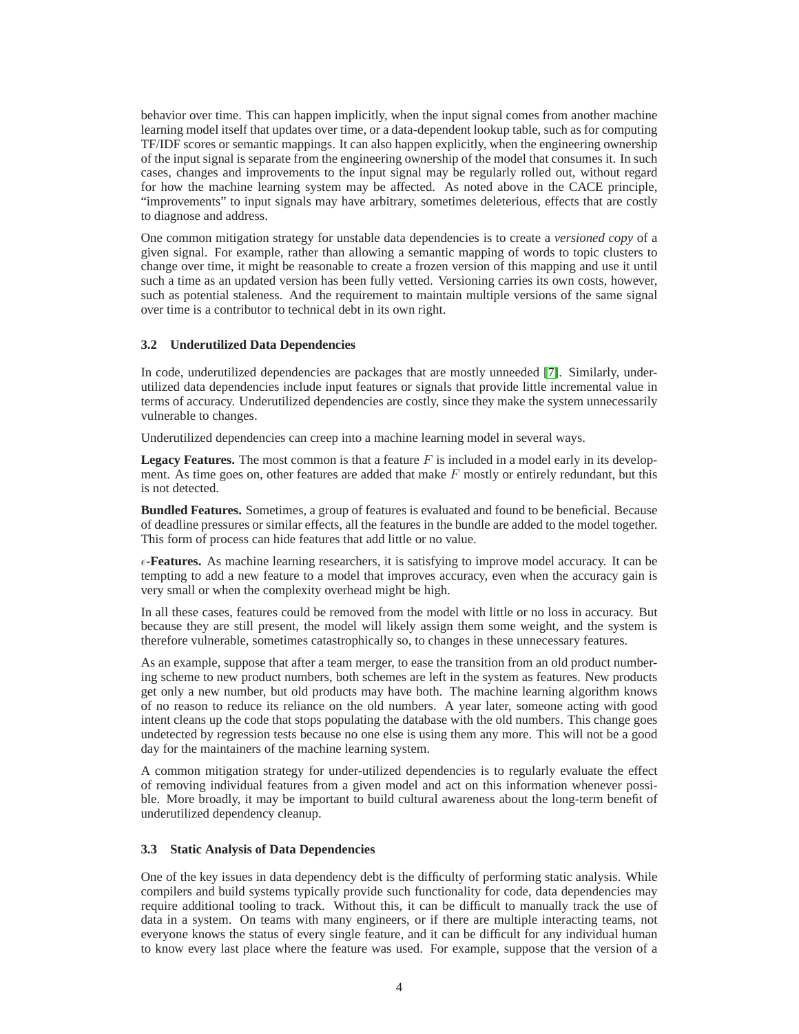behavior over time. This can happen implicitly, when the input signal comes from another machine learning model itself that updates over time, or a data-dependent lookup table, such as for computing TF/IDF scores or semantic mappings. It can also happen explicitly, when the engineering ownership of the input signal is separate from the engineering ownership of the model that consumes it. In such cases, changes and improvements to the input signal may be regularly rolled out, without regard for how the machine learning system may be affected. As noted above in the CACE principle, "improvements" to input signals may have arbitrary, sometimes deleterious, effects that are costly to diagnose and address.

One common mitigation strategy for unstable data dependencies is to create a *versioned copy* of a given signal. For example, rather than allowing a semantic mapping of words to topic clusters to change over time, it might be reasonable to create a frozen version of this mapping and use it until such a time as an updated version has been fully vetted. Versioning carries its own costs, however, such as potential staleness. And the requirement to maintain multiple versions of the same signal over time is a contributor to technical debt in its own right.

#### **3.2 Underutilized Data Dependencies**

In code, underutilized dependencies are packages that are mostly unneeded [\[7\]](#page-8-5). Similarly, underutilized data dependencies include input features or signals that provide little incremental value in terms of accuracy. Underutilized dependencies are costly, since they make the system unnecessarily vulnerable to changes.

Underutilized dependencies can creep into a machine learning model in several ways.

**Legacy Features.** The most common is that a feature  $F$  is included in a model early in its development. As time goes on, other features are added that make  $F$  mostly or entirely redundant, but this is not detected.

**Bundled Features.** Sometimes, a group of features is evaluated and found to be beneficial. Because of deadline pressures or similar effects, all the features in the bundle are added to the model together. This form of process can hide features that add little or no value.

ǫ**-Features.** As machine learning researchers, it is satisfying to improve model accuracy. It can be tempting to add a new feature to a model that improves accuracy, even when the accuracy gain is very small or when the complexity overhead might be high.

In all these cases, features could be removed from the model with little or no loss in accuracy. But because they are still present, the model will likely assign them some weight, and the system is therefore vulnerable, sometimes catastrophically so, to changes in these unnecessary features.

As an example, suppose that after a team merger, to ease the transition from an old product numbering scheme to new product numbers, both schemes are left in the system as features. New products get only a new number, but old products may have both. The machine learning algorithm knows of no reason to reduce its reliance on the old numbers. A year later, someone acting with good intent cleans up the code that stops populating the database with the old numbers. This change goes undetected by regression tests because no one else is using them any more. This will not be a good day for the maintainers of the machine learning system.

A common mitigation strategy for under-utilized dependencies is to regularly evaluate the effect of removing individual features from a given model and act on this information whenever possible. More broadly, it may be important to build cultural awareness about the long-term benefit of underutilized dependency cleanup.

#### **3.3 Static Analysis of Data Dependencies**

One of the key issues in data dependency debt is the difficulty of performing static analysis. While compilers and build systems typically provide such functionality for code, data dependencies may require additional tooling to track. Without this, it can be difficult to manually track the use of data in a system. On teams with many engineers, or if there are multiple interacting teams, not everyone knows the status of every single feature, and it can be difficult for any individual human to know every last place where the feature was used. For example, suppose that the version of a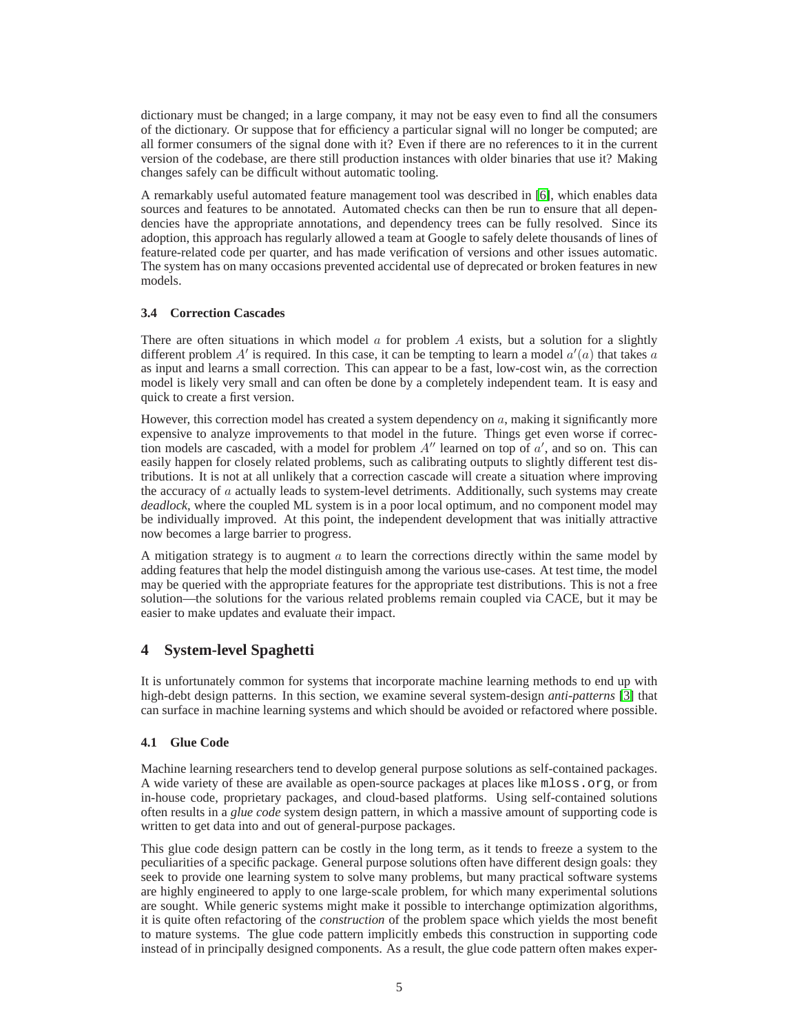dictionary must be changed; in a large company, it may not be easy even to find all the consumers of the dictionary. Or suppose that for efficiency a particular signal will no longer be computed; are all former consumers of the signal done with it? Even if there are no references to it in the current version of the codebase, are there still production instances with older binaries that use it? Making changes safely can be difficult without automatic tooling.

A remarkably useful automated feature management tool was described in [\[6\]](#page-8-2), which enables data sources and features to be annotated. Automated checks can then be run to ensure that all dependencies have the appropriate annotations, and dependency trees can be fully resolved. Since its adoption, this approach has regularly allowed a team at Google to safely delete thousands of lines of feature-related code per quarter, and has made verification of versions and other issues automatic. The system has on many occasions prevented accidental use of deprecated or broken features in new models.

#### **3.4 Correction Cascades**

There are often situations in which model  $\alpha$  for problem  $\alpha$  exists, but a solution for a slightly different problem A' is required. In this case, it can be tempting to learn a model  $a'(a)$  that takes a as input and learns a small correction. This can appear to be a fast, low-cost win, as the correction model is likely very small and can often be done by a completely independent team. It is easy and quick to create a first version.

However, this correction model has created a system dependency on  $a$ , making it significantly more expensive to analyze improvements to that model in the future. Things get even worse if correction models are cascaded, with a model for problem  $A''$  learned on top of  $a'$ , and so on. This can easily happen for closely related problems, such as calibrating outputs to slightly different test distributions. It is not at all unlikely that a correction cascade will create a situation where improving the accuracy of  $a$  actually leads to system-level detriments. Additionally, such systems may create *deadlock*, where the coupled ML system is in a poor local optimum, and no component model may be individually improved. At this point, the independent development that was initially attractive now becomes a large barrier to progress.

A mitigation strategy is to augment  $a$  to learn the corrections directly within the same model by adding features that help the model distinguish among the various use-cases. At test time, the model may be queried with the appropriate features for the appropriate test distributions. This is not a free solution—the solutions for the various related problems remain coupled via CACE, but it may be easier to make updates and evaluate their impact.

# **4 System-level Spaghetti**

It is unfortunately common for systems that incorporate machine learning methods to end up with high-debt design patterns. In this section, we examine several system-design *anti-patterns* [\[3\]](#page-8-6) that can surface in machine learning systems and which should be avoided or refactored where possible.

#### **4.1 Glue Code**

Machine learning researchers tend to develop general purpose solutions as self-contained packages. A wide variety of these are available as open-source packages at places like mloss.org, or from in-house code, proprietary packages, and cloud-based platforms. Using self-contained solutions often results in a *glue code* system design pattern, in which a massive amount of supporting code is written to get data into and out of general-purpose packages.

This glue code design pattern can be costly in the long term, as it tends to freeze a system to the peculiarities of a specific package. General purpose solutions often have different design goals: they seek to provide one learning system to solve many problems, but many practical software systems are highly engineered to apply to one large-scale problem, for which many experimental solutions are sought. While generic systems might make it possible to interchange optimization algorithms, it is quite often refactoring of the *construction* of the problem space which yields the most benefit to mature systems. The glue code pattern implicitly embeds this construction in supporting code instead of in principally designed components. As a result, the glue code pattern often makes exper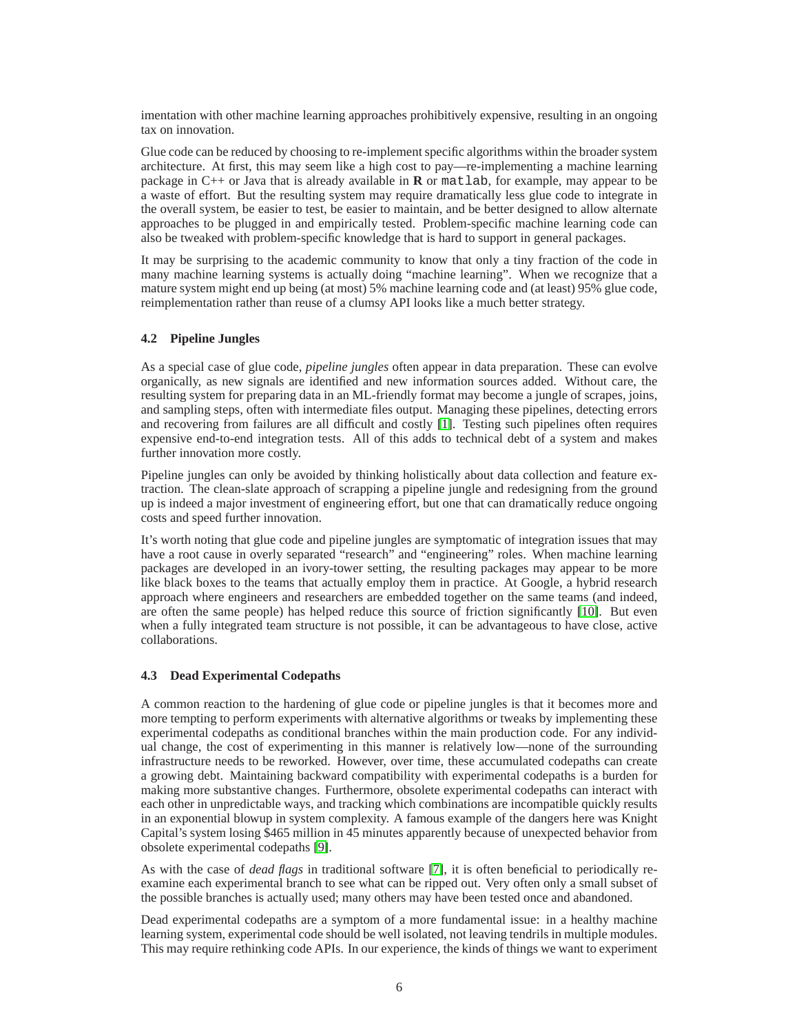imentation with other machine learning approaches prohibitively expensive, resulting in an ongoing tax on innovation.

Glue code can be reduced by choosing to re-implement specific algorithms within the broader system architecture. At first, this may seem like a high cost to pay—re-implementing a machine learning package in C++ or Java that is already available in **R** or matlab, for example, may appear to be a waste of effort. But the resulting system may require dramatically less glue code to integrate in the overall system, be easier to test, be easier to maintain, and be better designed to allow alternate approaches to be plugged in and empirically tested. Problem-specific machine learning code can also be tweaked with problem-specific knowledge that is hard to support in general packages.

It may be surprising to the academic community to know that only a tiny fraction of the code in many machine learning systems is actually doing "machine learning". When we recognize that a mature system might end up being (at most) 5% machine learning code and (at least) 95% glue code, reimplementation rather than reuse of a clumsy API looks like a much better strategy.

#### **4.2 Pipeline Jungles**

As a special case of glue code, *pipeline jungles* often appear in data preparation. These can evolve organically, as new signals are identified and new information sources added. Without care, the resulting system for preparing data in an ML-friendly format may become a jungle of scrapes, joins, and sampling steps, often with intermediate files output. Managing these pipelines, detecting errors and recovering from failures are all difficult and costly [\[1\]](#page-8-7). Testing such pipelines often requires expensive end-to-end integration tests. All of this adds to technical debt of a system and makes further innovation more costly.

Pipeline jungles can only be avoided by thinking holistically about data collection and feature extraction. The clean-slate approach of scrapping a pipeline jungle and redesigning from the ground up is indeed a major investment of engineering effort, but one that can dramatically reduce ongoing costs and speed further innovation.

It's worth noting that glue code and pipeline jungles are symptomatic of integration issues that may have a root cause in overly separated "research" and "engineering" roles. When machine learning packages are developed in an ivory-tower setting, the resulting packages may appear to be more like black boxes to the teams that actually employ them in practice. At Google, a hybrid research approach where engineers and researchers are embedded together on the same teams (and indeed, are often the same people) has helped reduce this source of friction significantly [\[10\]](#page-8-8). But even when a fully integrated team structure is not possible, it can be advantageous to have close, active collaborations.

#### **4.3 Dead Experimental Codepaths**

A common reaction to the hardening of glue code or pipeline jungles is that it becomes more and more tempting to perform experiments with alternative algorithms or tweaks by implementing these experimental codepaths as conditional branches within the main production code. For any individual change, the cost of experimenting in this manner is relatively low—none of the surrounding infrastructure needs to be reworked. However, over time, these accumulated codepaths can create a growing debt. Maintaining backward compatibility with experimental codepaths is a burden for making more substantive changes. Furthermore, obsolete experimental codepaths can interact with each other in unpredictable ways, and tracking which combinations are incompatible quickly results in an exponential blowup in system complexity. A famous example of the dangers here was Knight Capital's system losing \$465 million in 45 minutes apparently because of unexpected behavior from obsolete experimental codepaths [\[9\]](#page-8-9).

As with the case of *dead flags* in traditional software [\[7\]](#page-8-5), it is often beneficial to periodically reexamine each experimental branch to see what can be ripped out. Very often only a small subset of the possible branches is actually used; many others may have been tested once and abandoned.

Dead experimental codepaths are a symptom of a more fundamental issue: in a healthy machine learning system, experimental code should be well isolated, not leaving tendrils in multiple modules. This may require rethinking code APIs. In our experience, the kinds of things we want to experiment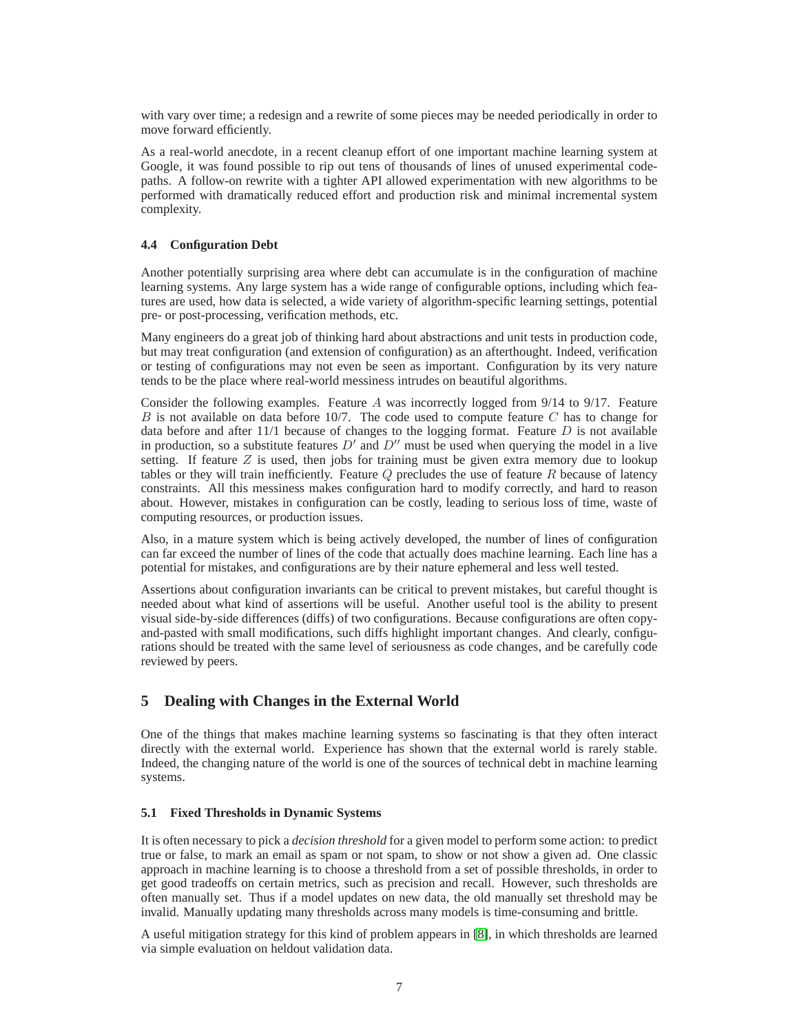with vary over time; a redesign and a rewrite of some pieces may be needed periodically in order to move forward efficiently.

As a real-world anecdote, in a recent cleanup effort of one important machine learning system at Google, it was found possible to rip out tens of thousands of lines of unused experimental codepaths. A follow-on rewrite with a tighter API allowed experimentation with new algorithms to be performed with dramatically reduced effort and production risk and minimal incremental system complexity.

#### **4.4 Configuration Debt**

Another potentially surprising area where debt can accumulate is in the configuration of machine learning systems. Any large system has a wide range of configurable options, including which features are used, how data is selected, a wide variety of algorithm-specific learning settings, potential pre- or post-processing, verification methods, etc.

Many engineers do a great job of thinking hard about abstractions and unit tests in production code, but may treat configuration (and extension of configuration) as an afterthought. Indeed, verification or testing of configurations may not even be seen as important. Configuration by its very nature tends to be the place where real-world messiness intrudes on beautiful algorithms.

Consider the following examples. Feature A was incorrectly logged from 9/14 to 9/17. Feature B is not available on data before  $10/7$ . The code used to compute feature C has to change for data before and after  $11/1$  because of changes to the logging format. Feature D is not available in production, so a substitute features  $D'$  and  $D''$  must be used when querying the model in a live setting. If feature  $Z$  is used, then jobs for training must be given extra memory due to lookup tables or they will train inefficiently. Feature  $Q$  precludes the use of feature  $R$  because of latency constraints. All this messiness makes configuration hard to modify correctly, and hard to reason about. However, mistakes in configuration can be costly, leading to serious loss of time, waste of computing resources, or production issues.

Also, in a mature system which is being actively developed, the number of lines of configuration can far exceed the number of lines of the code that actually does machine learning. Each line has a potential for mistakes, and configurations are by their nature ephemeral and less well tested.

Assertions about configuration invariants can be critical to prevent mistakes, but careful thought is needed about what kind of assertions will be useful. Another useful tool is the ability to present visual side-by-side differences (diffs) of two configurations. Because configurations are often copyand-pasted with small modifications, such diffs highlight important changes. And clearly, configurations should be treated with the same level of seriousness as code changes, and be carefully code reviewed by peers.

# **5 Dealing with Changes in the External World**

One of the things that makes machine learning systems so fascinating is that they often interact directly with the external world. Experience has shown that the external world is rarely stable. Indeed, the changing nature of the world is one of the sources of technical debt in machine learning systems.

#### **5.1 Fixed Thresholds in Dynamic Systems**

It is often necessary to pick a *decision threshold* for a given model to perform some action: to predict true or false, to mark an email as spam or not spam, to show or not show a given ad. One classic approach in machine learning is to choose a threshold from a set of possible thresholds, in order to get good tradeoffs on certain metrics, such as precision and recall. However, such thresholds are often manually set. Thus if a model updates on new data, the old manually set threshold may be invalid. Manually updating many thresholds across many models is time-consuming and brittle.

A useful mitigation strategy for this kind of problem appears in [\[8\]](#page-8-1), in which thresholds are learned via simple evaluation on heldout validation data.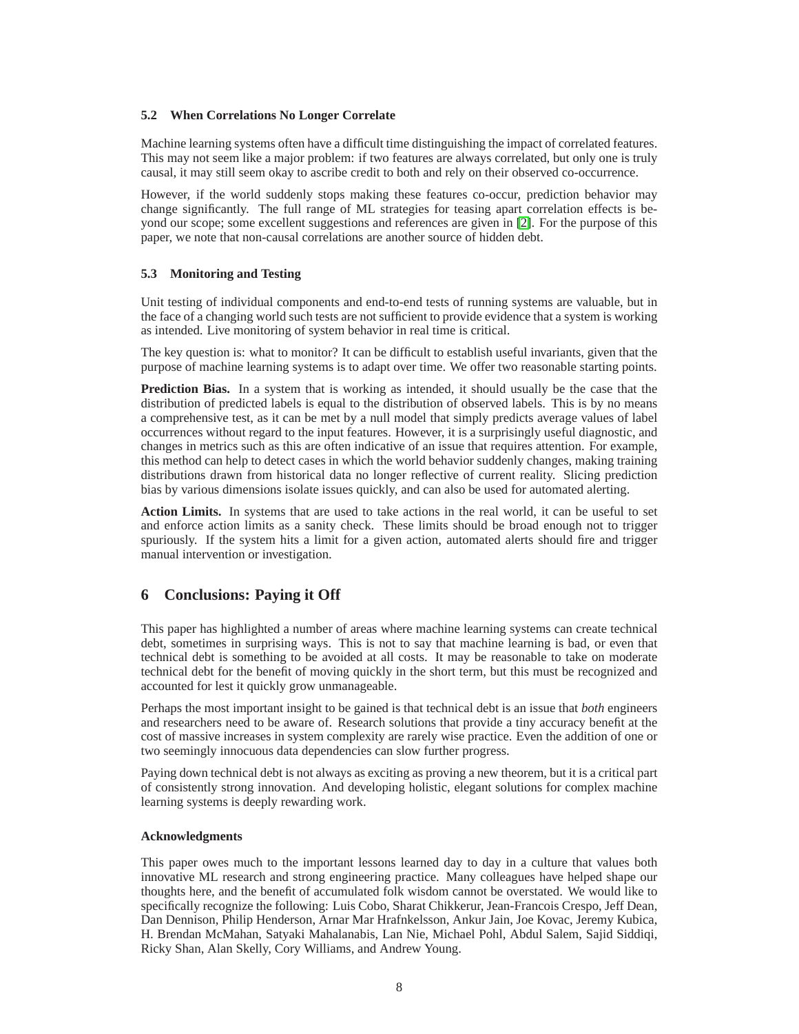#### **5.2 When Correlations No Longer Correlate**

Machine learning systems often have a difficult time distinguishing the impact of correlated features. This may not seem like a major problem: if two features are always correlated, but only one is truly causal, it may still seem okay to ascribe credit to both and rely on their observed co-occurrence.

However, if the world suddenly stops making these features co-occur, prediction behavior may change significantly. The full range of ML strategies for teasing apart correlation effects is beyond our scope; some excellent suggestions and references are given in [\[2\]](#page-8-4). For the purpose of this paper, we note that non-causal correlations are another source of hidden debt.

#### **5.3 Monitoring and Testing**

Unit testing of individual components and end-to-end tests of running systems are valuable, but in the face of a changing world such tests are not sufficient to provide evidence that a system is working as intended. Live monitoring of system behavior in real time is critical.

The key question is: what to monitor? It can be difficult to establish useful invariants, given that the purpose of machine learning systems is to adapt over time. We offer two reasonable starting points.

**Prediction Bias.** In a system that is working as intended, it should usually be the case that the distribution of predicted labels is equal to the distribution of observed labels. This is by no means a comprehensive test, as it can be met by a null model that simply predicts average values of label occurrences without regard to the input features. However, it is a surprisingly useful diagnostic, and changes in metrics such as this are often indicative of an issue that requires attention. For example, this method can help to detect cases in which the world behavior suddenly changes, making training distributions drawn from historical data no longer reflective of current reality. Slicing prediction bias by various dimensions isolate issues quickly, and can also be used for automated alerting.

**Action Limits.** In systems that are used to take actions in the real world, it can be useful to set and enforce action limits as a sanity check. These limits should be broad enough not to trigger spuriously. If the system hits a limit for a given action, automated alerts should fire and trigger manual intervention or investigation.

# **6 Conclusions: Paying it Off**

This paper has highlighted a number of areas where machine learning systems can create technical debt, sometimes in surprising ways. This is not to say that machine learning is bad, or even that technical debt is something to be avoided at all costs. It may be reasonable to take on moderate technical debt for the benefit of moving quickly in the short term, but this must be recognized and accounted for lest it quickly grow unmanageable.

Perhaps the most important insight to be gained is that technical debt is an issue that *both* engineers and researchers need to be aware of. Research solutions that provide a tiny accuracy benefit at the cost of massive increases in system complexity are rarely wise practice. Even the addition of one or two seemingly innocuous data dependencies can slow further progress.

Paying down technical debt is not always as exciting as proving a new theorem, but it is a critical part of consistently strong innovation. And developing holistic, elegant solutions for complex machine learning systems is deeply rewarding work.

#### **Acknowledgments**

This paper owes much to the important lessons learned day to day in a culture that values both innovative ML research and strong engineering practice. Many colleagues have helped shape our thoughts here, and the benefit of accumulated folk wisdom cannot be overstated. We would like to specifically recognize the following: Luis Cobo, Sharat Chikkerur, Jean-Francois Crespo, Jeff Dean, Dan Dennison, Philip Henderson, Arnar Mar Hrafnkelsson, Ankur Jain, Joe Kovac, Jeremy Kubica, H. Brendan McMahan, Satyaki Mahalanabis, Lan Nie, Michael Pohl, Abdul Salem, Sajid Siddiqi, Ricky Shan, Alan Skelly, Cory Williams, and Andrew Young.